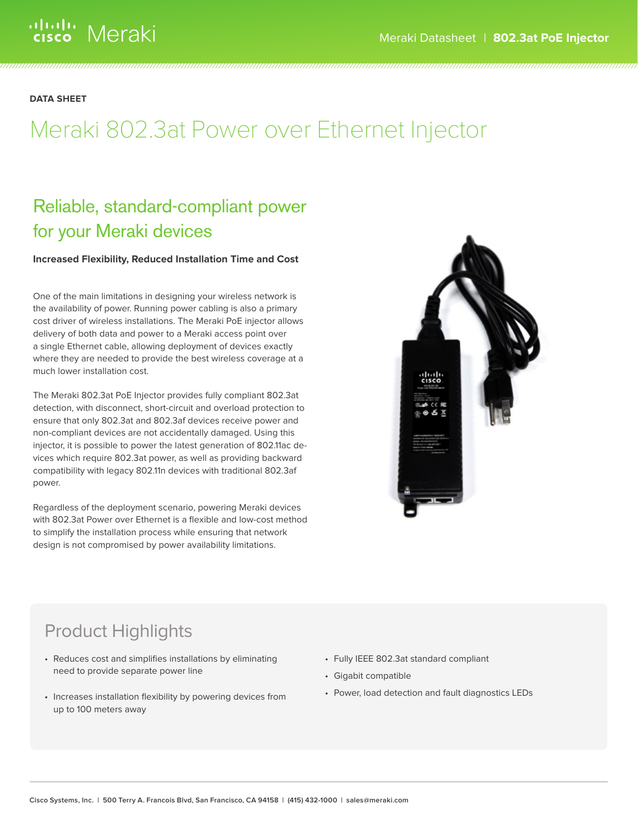**DATA SHEET**

# Meraki 802.3at Power over Ethernet Injector

# Reliable, standard-compliant power for your Meraki devices

# **Increased Flexibility, Reduced Installation Time and Cost**

One of the main limitations in designing your wireless network is the availability of power. Running power cabling is also a primary cost driver of wireless installations. The Meraki PoE injector allows delivery of both data and power to a Meraki access point over a single Ethernet cable, allowing deployment of devices exactly where they are needed to provide the best wireless coverage at a much lower installation cost.

The Meraki 802.3at PoE Injector provides fully compliant 802.3at detection, with disconnect, short-circuit and overload protection to ensure that only 802.3at and 802.3af devices receive power and non-compliant devices are not accidentally damaged. Using this injector, it is possible to power the latest generation of 802.11ac devices which require 802.3at power, as well as providing backward compatibility with legacy 802.11n devices with traditional 802.3af power.

Regardless of the deployment scenario, powering Meraki devices with 802.3at Power over Ethernet is a flexible and low-cost method to simplify the installation process while ensuring that network design is not compromised by power availability limitations.



# Product Highlights

- • Reduces cost and simplifies installations by eliminating need to provide separate power line
- Increases installation flexibility by powering devices from up to 100 meters away
- • Fully IEEE 802.3at standard compliant
- • Gigabit compatible
- • Power, load detection and fault diagnostics LEDs